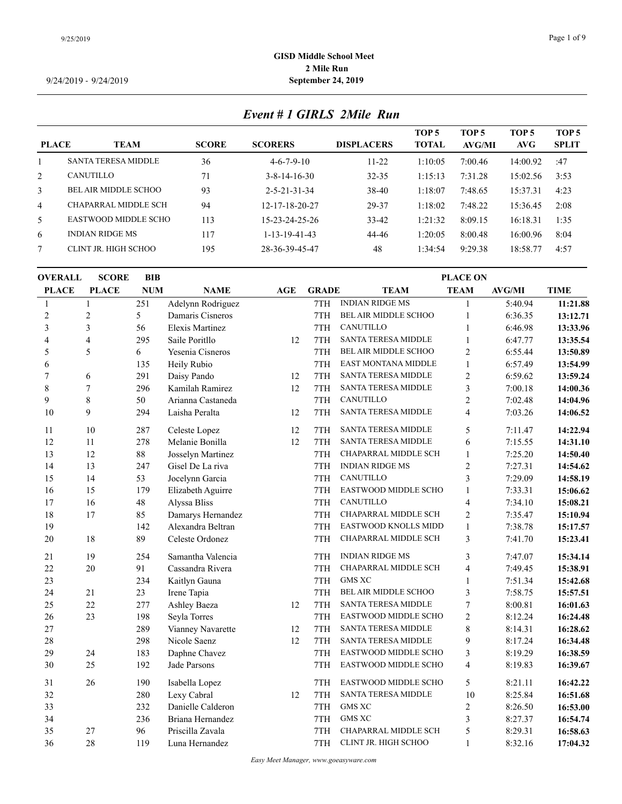| Event # 1 GIRLS 2Mile Run |  |
|---------------------------|--|
|---------------------------|--|

|                |                             |              |                          |                   | TOP <sub>5</sub> | TOP <sub>5</sub> | TOP <sub>5</sub> | TOP <sub>5</sub> |
|----------------|-----------------------------|--------------|--------------------------|-------------------|------------------|------------------|------------------|------------------|
| <b>PLACE</b>   | <b>TEAM</b>                 | <b>SCORE</b> | <b>SCORERS</b>           | <b>DISPLACERS</b> | <b>TOTAL</b>     | <b>AVG/MI</b>    | AVG              | <b>SPLIT</b>     |
|                | <b>SANTA TERESA MIDDLE</b>  | 36           | $4 - 6 - 7 - 9 - 10$     | $11 - 22$         | 1:10:05          | 7:00.46          | 14:00.92         | :47              |
| 2              | CANUTILLO                   | 71           | $3 - 8 - 14 - 16 - 30$   | $32 - 35$         | 1:15:13          | 7:31.28          | 15:02.56         | 3:53             |
| 3              | <b>BEL AIR MIDDLE SCHOO</b> | 93           | $2 - 5 - 21 - 31 - 34$   | 38-40             | 1:18:07          | 7:48.65          | 15:37.31         | 4:23             |
| $\overline{4}$ | CHAPARRAL MIDDLE SCH        | 94           | 12-17-18-20-27           | 29-37             | 1:18:02          | 7:48.22          | 15:36.45         | 2:08             |
| 5.             | EASTWOOD MIDDLE SCHO        | 113          | $15 - 23 - 24 - 25 - 26$ | $33 - 42$         | 1:21:32          | 8:09.15          | 16:18.31         | 1:35             |
| 6              | <b>INDIAN RIDGE MS</b>      | 117          | 1-13-19-41-43            | 44-46             | 1:20:05          | 8:00.48          | 16:00.96         | 8:04             |
|                | CLINT JR. HIGH SCHOO        | 195          | 28-36-39-45-47           | 48                | 1:34:54          | 9:29.38          | 18:58.77         | 4:57             |
|                |                             |              |                          |                   |                  |                  |                  |                  |

| <b>OVERALL</b> | <b>SCORE</b>   | <b>BIB</b> |                        |     |              | <b>PLACE ON</b>             |                |               |             |  |  |
|----------------|----------------|------------|------------------------|-----|--------------|-----------------------------|----------------|---------------|-------------|--|--|
| <b>PLACE</b>   | <b>PLACE</b>   | <b>NUM</b> | <b>NAME</b>            | AGE | <b>GRADE</b> | <b>TEAM</b>                 | <b>TEAM</b>    | <b>AVG/MI</b> | <b>TIME</b> |  |  |
| 1              |                | 251        | Adelynn Rodriguez      |     | 7TH          | <b>INDIAN RIDGE MS</b>      | $\mathbf{1}$   | 5:40.94       | 11:21.88    |  |  |
| $\overline{c}$ | $\overline{2}$ | 5          | Damaris Cisneros       |     | 7TH          | BEL AIR MIDDLE SCHOO        | $\mathbf{1}$   | 6:36.35       | 13:12.71    |  |  |
| 3              | 3              | 56         | <b>Elexis Martinez</b> |     | 7TH          | CANUTILLO                   | $\mathbf{1}$   | 6:46.98       | 13:33.96    |  |  |
| 4              | 4              | 295        | Saile Poritllo         | 12  | 7TH          | <b>SANTA TERESA MIDDLE</b>  | $\mathbf{1}$   | 6:47.77       | 13:35.54    |  |  |
| 5              | 5              | 6          | Yesenia Cisneros       |     | 7TH          | <b>BEL AIR MIDDLE SCHOO</b> | $\overline{2}$ | 6:55.44       | 13:50.89    |  |  |
| 6              |                | 135        | Heily Rubio            |     | 7TH          | EAST MONTANA MIDDLE         | $\mathbf{1}$   | 6:57.49       | 13:54.99    |  |  |
| 7              | 6              | 291        | Daisy Pando            | 12  | 7TH          | <b>SANTA TERESA MIDDLE</b>  | $\sqrt{2}$     | 6:59.62       | 13:59.24    |  |  |
| $\,$ 8 $\,$    | 7              | 296        | Kamilah Ramirez        | 12  | 7TH          | <b>SANTA TERESA MIDDLE</b>  | 3              | 7:00.18       | 14:00.36    |  |  |
| 9              | 8              | 50         | Arianna Castaneda      |     | 7TH          | CANUTILLO                   | $\mathfrak{2}$ | 7:02.48       | 14:04.96    |  |  |
| 10             | 9              | 294        | Laisha Peralta         | 12  | 7TH          | <b>SANTA TERESA MIDDLE</b>  | $\overline{4}$ | 7:03.26       | 14:06.52    |  |  |
| 11             | 10             | 287        | Celeste Lopez          | 12  | 7TH          | <b>SANTA TERESA MIDDLE</b>  | 5              | 7:11.47       | 14:22.94    |  |  |
| 12             | 11             | 278        | Melanie Bonilla        | 12  | 7TH          | <b>SANTA TERESA MIDDLE</b>  | 6              | 7:15.55       | 14:31.10    |  |  |
| 13             | 12             | $88\,$     | Josselyn Martinez      |     | 7TH          | CHAPARRAL MIDDLE SCH        | $\mathbf{1}$   | 7:25.20       | 14:50.40    |  |  |
| 14             | 13             | 247        | Gisel De La riva       |     | 7TH          | <b>INDIAN RIDGE MS</b>      | $\sqrt{2}$     | 7:27.31       | 14:54.62    |  |  |
| 15             | 14             | 53         | Jocelynn Garcia        |     | 7TH          | <b>CANUTILLO</b>            | 3              | 7:29.09       | 14:58.19    |  |  |
| 16             | 15             | 179        | Elizabeth Aguirre      |     | 7TH          | EASTWOOD MIDDLE SCHO        | $\mathbf{1}$   | 7:33.31       | 15:06.62    |  |  |
| 17             | 16             | 48         | Alyssa Bliss           |     | 7TH          | CANUTILLO                   | $\overline{4}$ | 7:34.10       | 15:08.21    |  |  |
| 18             | 17             | 85         | Damarys Hernandez      |     | 7TH          | CHAPARRAL MIDDLE SCH        | $\overline{2}$ | 7:35.47       | 15:10.94    |  |  |
| 19             |                | 142        | Alexandra Beltran      |     | 7TH          | EASTWOOD KNOLLS MIDD        | $\mathbf{1}$   | 7:38.78       | 15:17.57    |  |  |
| 20             | 18             | 89         | Celeste Ordonez        |     | 7TH          | CHAPARRAL MIDDLE SCH        | 3              | 7:41.70       | 15:23.41    |  |  |
| 21             | 19             | 254        | Samantha Valencia      |     | 7TH          | <b>INDIAN RIDGE MS</b>      | 3              | 7:47.07       | 15:34.14    |  |  |
| 22             | 20             | 91         | Cassandra Rivera       |     | 7TH          | CHAPARRAL MIDDLE SCH        | $\overline{4}$ | 7:49.45       | 15:38.91    |  |  |
| 23             |                | 234        | Kaitlyn Gauna          |     | 7TH          | <b>GMS XC</b>               | $\mathbf{1}$   | 7:51.34       | 15:42.68    |  |  |
| 24             | $21\,$         | 23         | Irene Tapia            |     | 7TH          | BEL AIR MIDDLE SCHOO        | 3              | 7:58.75       | 15:57.51    |  |  |
| 25             | 22             | 277        | Ashley Baeza           | 12  | 7TH          | <b>SANTA TERESA MIDDLE</b>  | $\tau$         | 8:00.81       | 16:01.63    |  |  |
| 26             | 23             | 198        | Seyla Torres           |     | 7TH          | <b>EASTWOOD MIDDLE SCHO</b> | $\overline{2}$ | 8:12.24       | 16:24.48    |  |  |
| 27             |                | 289        | Vianney Navarette      | 12  | 7TH          | <b>SANTA TERESA MIDDLE</b>  | $\,$ 8 $\,$    | 8:14.31       | 16:28.62    |  |  |
| 28             |                | 298        | Nicole Saenz           | 12  | 7TH          | <b>SANTA TERESA MIDDLE</b>  | 9              | 8:17.24       | 16:34.48    |  |  |
| 29             | 24             | 183        | Daphne Chavez          |     | 7TH          | EASTWOOD MIDDLE SCHO        | 3              | 8:19.29       | 16:38.59    |  |  |
| 30             | 25             | 192        | Jade Parsons           |     | 7TH          | EASTWOOD MIDDLE SCHO        | $\overline{4}$ | 8:19.83       | 16:39.67    |  |  |
| 31             | 26             | 190        | Isabella Lopez         |     | 7TH          | EASTWOOD MIDDLE SCHO        | 5              | 8:21.11       | 16:42.22    |  |  |
| 32             |                | 280        | Lexy Cabral            | 12  | 7TH          | <b>SANTA TERESA MIDDLE</b>  | 10             | 8:25.84       | 16:51.68    |  |  |
| 33             |                | 232        | Danielle Calderon      |     | 7TH          | <b>GMS XC</b>               | $\sqrt{2}$     | 8:26.50       | 16:53.00    |  |  |
| 34             |                | 236        | Briana Hernandez       |     | 7TH          | <b>GMS XC</b>               | 3              | 8:27.37       | 16:54.74    |  |  |
| 35             | 27             | 96         | Priscilla Zavala       |     | 7TH          | CHAPARRAL MIDDLE SCH        | 5              | 8:29.31       | 16:58.63    |  |  |
| 36             | 28             | 119        | Luna Hernandez         |     | 7TH          | CLINT JR. HIGH SCHOO        | $\mathbf{1}$   | 8:32.16       | 17:04.32    |  |  |
|                |                |            |                        |     |              |                             |                |               |             |  |  |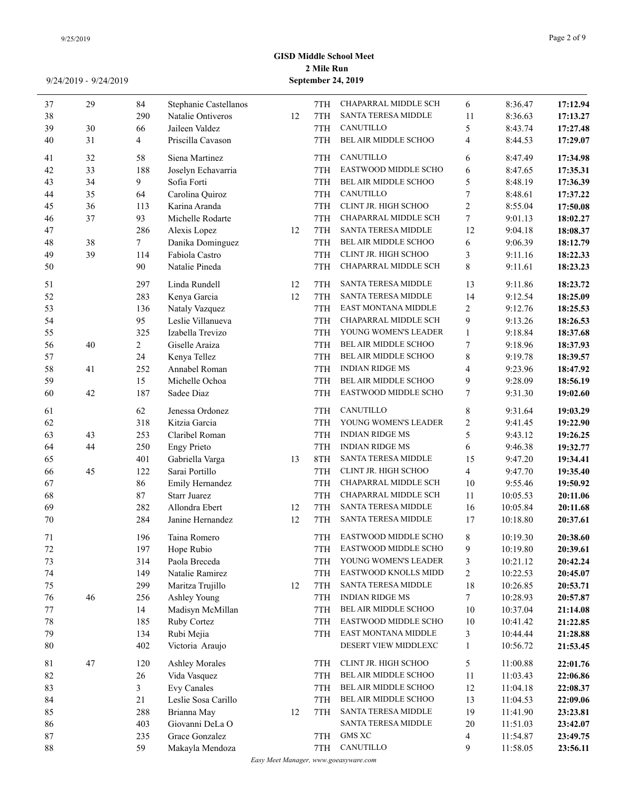| 37     | 29     | 84             | Stephanie Castellanos              |                        | 7TH        | CHAPARRAL MIDDLE SCH                       | 6              | 8:36.47              | 17:12.94             |
|--------|--------|----------------|------------------------------------|------------------------|------------|--------------------------------------------|----------------|----------------------|----------------------|
| 38     |        | 290            | Natalie Ontiveros                  | 12                     | 7TH        | SANTA TERESA MIDDLE                        | 11             | 8:36.63              | 17:13.27             |
| 39     | 30     | 66             | Jaileen Valdez                     |                        | 7TH        | CANUTILLO                                  | 5              | 8:43.74              | 17:27.48             |
| $40\,$ | 31     | 4              | Priscilla Cavason                  |                        | 7TH        | BEL AIR MIDDLE SCHOO                       | $\overline{4}$ | 8:44.53              | 17:29.07             |
| 41     | 32     | 58             | Siena Martinez                     |                        | 7TH        | CANUTILLO                                  | 6              | 8:47.49              | 17:34.98             |
| 42     | 33     | 188            | Joselyn Echavarria                 |                        | 7TH        | EASTWOOD MIDDLE SCHO                       | 6              | 8:47.65              | 17:35.31             |
|        | 34     | 9              | Sofia Forti                        |                        | 7TH        | BEL AIR MIDDLE SCHOO                       | 5              | 8:48.19              | 17:36.39             |
|        | 35     | 64             | Carolina Quiroz                    |                        | 7TH        | CANUTILLO                                  | $\tau$         | 8:48.61              | 17:37.22             |
|        | 36     | 113            | Karina Aranda                      |                        | 7TH        | CLINT JR. HIGH SCHOO                       | $\overline{c}$ | 8:55.04              | 17:50.08             |
|        | 37     | 93             | Michelle Rodarte                   |                        | 7TH        | CHAPARRAL MIDDLE SCH                       | $\tau$         | 9:01.13              | 18:02.27             |
|        |        | 286            | Alexis Lopez                       | 12                     | 7TH        | SANTA TERESA MIDDLE                        | 12             | 9:04.18              | 18:08.37             |
|        | 38     | 7              | Danika Dominguez                   |                        | 7TH        | BEL AIR MIDDLE SCHOO                       | 6              | 9:06.39              | 18:12.79             |
|        | 39     | 114            | Fabiola Castro                     |                        | 7TH        | CLINT JR. HIGH SCHOO                       | 3              | 9:11.16              | 18:22.33             |
|        |        | 90             | Natalie Pineda                     |                        | 7TH        | CHAPARRAL MIDDLE SCH                       | 8              | 9:11.61              | 18:23.23             |
|        |        | 297            | Linda Rundell                      | 12                     | 7TH        | SANTA TERESA MIDDLE                        | 13             | 9:11.86              | 18:23.72             |
|        |        | 283            | Kenya Garcia                       | 12                     | 7TH        | SANTA TERESA MIDDLE                        | 14             | 9:12.54              | 18:25.09             |
|        |        | 136            | Nataly Vazquez                     |                        | 7TH        | EAST MONTANA MIDDLE                        | $\sqrt{2}$     | 9:12.76              | 18:25.53             |
|        |        | 95             | Leslie Villanueva                  |                        | 7TH        | CHAPARRAL MIDDLE SCH                       | 9              | 9:13.26              | 18:26.53             |
|        |        | 325            | Izabella Trevizo                   |                        | 7TH        | YOUNG WOMEN'S LEADER                       | $\mathbf{1}$   | 9:18.84              | 18:37.68             |
|        | $40\,$ | $\overline{c}$ | Giselle Araiza                     |                        | 7TH        | BEL AIR MIDDLE SCHOO                       | 7              | 9:18.96              | 18:37.93             |
|        |        | 24             | Kenya Tellez                       |                        | 7TH        | BEL AIR MIDDLE SCHOO                       | $\,$ 8 $\,$    | 9:19.78              | 18:39.57             |
|        | 41     | 252            | Annabel Roman                      |                        | 7TH        | <b>INDIAN RIDGE MS</b>                     | $\overline{4}$ | 9:23.96              | 18:47.92             |
|        |        | 15             | Michelle Ochoa                     |                        | 7TH        | <b>BEL AIR MIDDLE SCHOO</b>                | 9              | 9:28.09              | 18:56.19             |
|        | 42     | 187            | Sadee Diaz                         |                        | 7TH        | EASTWOOD MIDDLE SCHO                       | $\tau$         | 9:31.30              | 19:02.60             |
|        |        | 62             | Jenessa Ordonez                    |                        | 7TH        | CANUTILLO                                  | $\,$ $\,$      | 9:31.64              | 19:03.29             |
|        |        | 318            | Kitzia Garcia                      |                        | 7TH        | YOUNG WOMEN'S LEADER                       | $\sqrt{2}$     | 9:41.45              | 19:22.90             |
|        | 43     | 253            | Claribel Roman                     |                        | 7TH        | <b>INDIAN RIDGE MS</b>                     | 5              | 9:43.12              | 19:26.25             |
|        | 44     | 250            | <b>Engy Prieto</b>                 |                        | 7TH        | <b>INDIAN RIDGE MS</b>                     | 6              | 9:46.38              | 19:32.77             |
|        |        | 401            | Gabriella Varga                    | 13                     | 8TH        | SANTA TERESA MIDDLE                        | 15             | 9:47.20              | 19:34.41             |
|        | 45     | 122            | Sarai Portillo                     |                        | 7TH        | CLINT JR. HIGH SCHOO                       | $\overline{4}$ | 9:47.70              | 19:35.40             |
|        |        | 86             | Emily Hernandez                    |                        | 7TH        | CHAPARRAL MIDDLE SCH                       | 10             | 9:55.46              |                      |
|        |        |                |                                    |                        |            | CHAPARRAL MIDDLE SCH                       |                |                      | 19:50.92             |
|        |        | 87             | <b>Starr Juarez</b>                |                        | 7TH        |                                            | 11             | 10:05.53             | 20:11.06             |
|        |        | 282<br>284     | Allondra Ebert<br>Janine Hernandez | 12<br>12               | 7TH<br>7TH | SANTA TERESA MIDDLE<br>SANTA TERESA MIDDLE | 16<br>17       | 10:05.84<br>10:18.80 | 20:11.68<br>20:37.61 |
|        |        |                |                                    |                        |            |                                            |                |                      |                      |
|        |        | 196            | Taina Romero                       |                        | 7TH        | <b>EASTWOOD MIDDLE SCHO</b>                | 8              | 10:19.30             | 20:38.60             |
|        |        | 197            | Hope Rubio                         |                        | 7TH        | EASTWOOD MIDDLE SCHO                       | 9              | 10:19.80             | 20:39.61             |
|        |        | 314            | Paola Breceda                      |                        | 7TH        | YOUNG WOMEN'S LEADER                       | 3              | 10:21.12             | 20:42.24             |
|        |        | 149            | Natalie Ramirez                    |                        | 7TH        | EASTWOOD KNOLLS MIDD                       | 2              | 10:22.53             | 20:45.07             |
|        |        | 299            | Maritza Trujillo                   | 12                     | 7TH        | <b>SANTA TERESA MIDDLE</b>                 | 18             | 10:26.85             | 20:53.71             |
|        | 46     | 256            | Ashley Young                       |                        | 7TH        | <b>INDIAN RIDGE MS</b>                     | $\tau$         | 10:28.93             | 20:57.87             |
|        |        | 14             | Madisyn McMillan                   |                        | 7TH        | BEL AIR MIDDLE SCHOO                       | 10             | 10:37.04             | 21:14.08             |
|        |        | 185            | Ruby Cortez                        |                        | 7TH        | EASTWOOD MIDDLE SCHO                       | 10             | 10:41.42             | 21:22.85             |
|        |        | 134            | Rubi Mejia                         |                        | 7TH        | EAST MONTANA MIDDLE                        | 3              | 10:44.44             | 21:28.88             |
|        |        | 402            | Victoria Araujo                    |                        |            | DESERT VIEW MIDDLEXC                       | 1              | 10:56.72             | 21:53.45             |
|        | $47\,$ | 120            | <b>Ashley Morales</b>              |                        | 7TH        | CLINT JR. HIGH SCHOO                       | 5              | 11:00.88             | 22:01.76             |
|        |        | 26             | Vida Vasquez                       |                        | 7TH        | BEL AIR MIDDLE SCHOO                       | 11             | 11:03.43             | 22:06.86             |
|        |        | 3              | <b>Evy Canales</b>                 |                        | 7TH        | BEL AIR MIDDLE SCHOO                       | 12             | 11:04.18             | 22:08.37             |
|        |        | 21             | Leslie Sosa Carillo                |                        | 7TH        | BEL AIR MIDDLE SCHOO                       | 13             | 11:04.53             | 22:09.06             |
|        |        | 288            | Brianna May                        | 12                     | 7TH        | SANTA TERESA MIDDLE                        | 19             | 11:41.90             | 23:23.81             |
|        |        | 403            | Giovanni DeLa O                    |                        |            | SANTA TERESA MIDDLE                        | 20             | 11:51.03             | 23:42.07             |
|        |        | 235            | Grace Gonzalez                     |                        | 7TH        | <b>GMS XC</b>                              | 4              | 11:54.87             | 23:49.75             |
|        |        | 59             | Makayla Mendoza                    |                        | 7TH        | CANUTILLO                                  | 9              | 11:58.05             | 23:56.11             |
|        |        |                |                                    | Fam Moot Managar uning |            |                                            |                |                      |                      |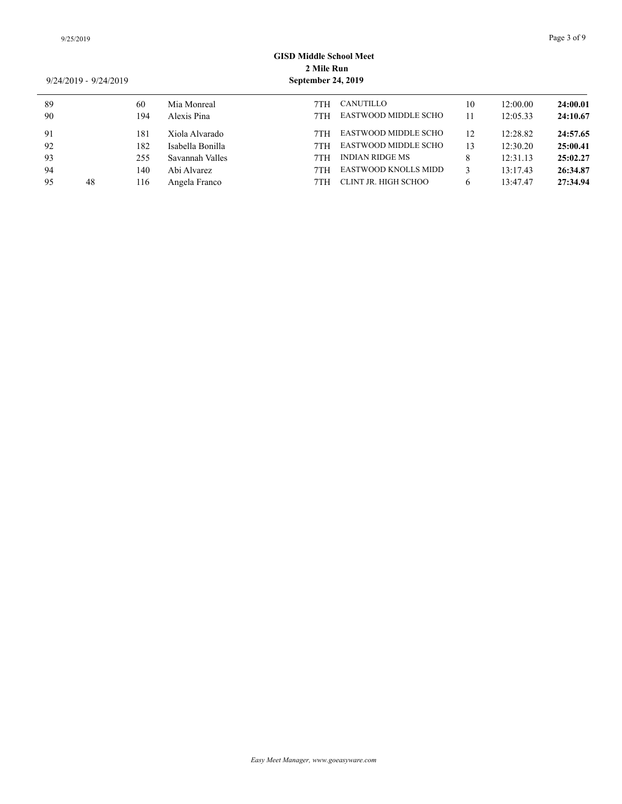| 89 |    | 60  | Mia Monreal      | 7TH | CANUTILLO            | 10 | 12:00.00 | 24:00.01 |
|----|----|-----|------------------|-----|----------------------|----|----------|----------|
| 90 |    | 194 | Alexis Pina      | 7TH | EASTWOOD MIDDLE SCHO |    | 12:05.33 | 24:10.67 |
| 91 |    | 181 | Xiola Alvarado   | 7TH | EASTWOOD MIDDLE SCHO | 12 | 12:28.82 | 24:57.65 |
| 92 |    | 182 | Isabella Bonilla | 7TH | EASTWOOD MIDDLE SCHO | 13 | 12:30.20 | 25:00.41 |
| 93 |    | 255 | Savannah Valles  | 7TH | INDIAN RIDGE MS      |    | 12:31.13 | 25:02.27 |
| 94 |    | 140 | Abi Alvarez      | 7TH | EASTWOOD KNOLLS MIDD |    | 13:17.43 | 26:34.87 |
| 95 | 48 | 116 | Angela Franco    | 7TH | CLINT JR. HIGH SCHOO |    | 13:47.47 | 27:34.94 |
|    |    |     |                  |     |                      |    |          |          |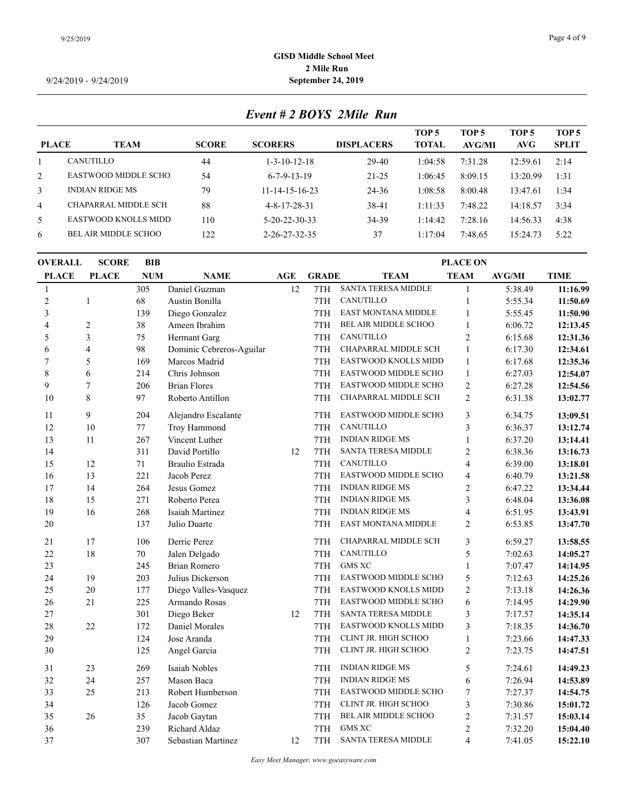### $9/25/2019$  Page 4 of 9

# **GISD Middle School Meet 2 Mile Run** 9/24/2019 - 9/24/2019 **September 24, 2019**

*Event # 2 BOYS 2Mile Run*

|              |                             |              |                          |                   | TOP <sub>5</sub> | TOP 5         | TOP <sub>5</sub> | TOP <sub>5</sub> |
|--------------|-----------------------------|--------------|--------------------------|-------------------|------------------|---------------|------------------|------------------|
| <b>PLACE</b> | <b>TEAM</b>                 | <b>SCORE</b> | <b>SCORERS</b>           | <b>DISPLACERS</b> | <b>TOTAL</b>     | <b>AVG/MI</b> | AVG              | <b>SPLIT</b>     |
|              | CANUTILLO                   | 44           | $1 - 3 - 10 - 12 - 18$   | 29-40             | 1:04:58          | 7:31.28       | 12:59.61         | 2:14             |
| $\mathbf{2}$ | EASTWOOD MIDDLE SCHO        | 54           | $6 - 7 - 9 - 13 - 19$    | $21 - 25$         | 1:06:45          | 8:09.15       | 13:20.99         | 1:31             |
| 3            | <b>INDIAN RIDGE MS</b>      | 79           | $11 - 14 - 15 - 16 - 23$ | 24-36             | 1:08:58          | 8:00.48       | 13:47.61         | 1:34             |
| 4            | CHAPARRAL MIDDLE SCH        | 88           | $4 - 8 - 17 - 28 - 31$   | 38-41             | 1:11:33          | 7:48.22       | 14:18.57         | 3:34             |
| 5.           | EASTWOOD KNOLLS MIDD        | 110          | $5 - 20 - 22 - 30 - 33$  | 34-39             | 1:14:42          | 7:28.16       | 14:56.33         | 4:38             |
| 6            | <b>BEL AIR MIDDLE SCHOO</b> | 122          | $2 - 26 - 27 - 32 - 35$  | 37                | 1:17:04          | 7:48.65       | 15:24.73         | 5:22             |
|              |                             |              |                          |                   |                  |               |                  |                  |

| <b>OVERALL</b> | <b>SCORE</b><br><b>PLACE</b> | <b>BIB</b> |                          | <b>PLACE ON</b> |              |                             |                |               |             |  |  |  |
|----------------|------------------------------|------------|--------------------------|-----------------|--------------|-----------------------------|----------------|---------------|-------------|--|--|--|
| <b>PLACE</b>   |                              | <b>NUM</b> | <b>NAME</b>              | AGE             | <b>GRADE</b> | <b>TEAM</b>                 | <b>TEAM</b>    | <b>AVG/MI</b> | <b>TIME</b> |  |  |  |
| $\mathbf{1}$   |                              | 305        | Daniel Guzman            | 12              | 7TH          | <b>SANTA TERESA MIDDLE</b>  | $\mathbf{1}$   | 5:38.49       | 11:16.99    |  |  |  |
| $\sqrt{2}$     | $\mathbf{1}$                 | 68         | Austin Bonilla           |                 | 7TH          | CANUTILLO                   | $\mathbf{1}$   | 5:55.34       | 11:50.69    |  |  |  |
| 3              |                              | 139        | Diego Gonzalez           |                 | 7TH          | EAST MONTANA MIDDLE         | $\mathbf{1}$   | 5:55.45       | 11:50.90    |  |  |  |
| $\overline{4}$ | $\overline{2}$               | 38         | Ameen Ibrahim            |                 | 7TH          | BEL AIR MIDDLE SCHOO        | $\mathbf{1}$   | 6:06.72       | 12:13.45    |  |  |  |
| 5              | 3                            | 75         | Hermant Garg             |                 | 7TH          | CANUTILLO                   | $\sqrt{2}$     | 6:15.68       | 12:31.36    |  |  |  |
| 6              | 4                            | 98         | Dominic Cebreros-Aguilar |                 | 7TH          | CHAPARRAL MIDDLE SCH        | $\mathbf{1}$   | 6:17.30       | 12:34.61    |  |  |  |
| 7              | 5                            | 169        | Marcos Madrid            |                 | 7TH          | EASTWOOD KNOLLS MIDD        | $\mathbf{1}$   | 6:17.68       | 12:35.36    |  |  |  |
| $\,$ 8 $\,$    | 6                            | 214        | Chris Johnson            |                 | 7TH          | <b>EASTWOOD MIDDLE SCHO</b> | $\mathbf{1}$   | 6:27.03       | 12:54.07    |  |  |  |
| 9              | $\tau$                       | 206        | <b>Brian Flores</b>      |                 | 7TH          | EASTWOOD MIDDLE SCHO        | $\sqrt{2}$     | 6:27.28       | 12:54.56    |  |  |  |
| 10             | 8                            | 97         | Roberto Antillon         |                 | 7TH          | CHAPARRAL MIDDLE SCH        | $\overline{2}$ | 6:31.38       | 13:02.77    |  |  |  |
| 11             | 9                            | 204        | Alejandro Escalante      |                 | 7TH          | EASTWOOD MIDDLE SCHO        | 3              | 6:34.75       | 13:09.51    |  |  |  |
| 12             | 10                           | 77         | Troy Hammond             |                 | 7TH          | CANUTILLO                   | 3              | 6:36.37       | 13:12.74    |  |  |  |
| 13             | 11                           | 267        | Vincent Luther           |                 | 7TH          | <b>INDIAN RIDGE MS</b>      | $\mathbf{1}$   | 6:37.20       | 13:14.41    |  |  |  |
| 14             |                              | 311        | David Portillo           | 12              | 7TH          | <b>SANTA TERESA MIDDLE</b>  | $\overline{2}$ | 6:38.36       | 13:16.73    |  |  |  |
| 15             | 12                           | 71         | Braulio Estrada          |                 | 7TH          | CANUTILLO                   | 4              | 6:39.00       | 13:18.01    |  |  |  |
| 16             | 13                           | 221        | Jacob Perez              |                 | 7TH          | EASTWOOD MIDDLE SCHO        | $\overline{4}$ | 6:40.79       | 13:21.58    |  |  |  |
| 17             | 14                           | 264        | Jesus Gomez              |                 | 7TH          | <b>INDIAN RIDGE MS</b>      | $\mathfrak{2}$ | 6:47.22       | 13:34.44    |  |  |  |
| 18             | 15                           | 271        | Roberto Perea            |                 | 7TH          | <b>INDIAN RIDGE MS</b>      | 3              | 6:48.04       | 13:36.08    |  |  |  |
| 19             | 16                           | 268        | Isaiah Martinez          |                 | 7TH          | <b>INDIAN RIDGE MS</b>      | 4              | 6:51.95       | 13:43.91    |  |  |  |
| 20             |                              | 137        | Julio Duarte             |                 | 7TH          | <b>EAST MONTANA MIDDLE</b>  | $\overline{2}$ | 6:53.85       | 13:47.70    |  |  |  |
| 21             | 17                           | 106        | Derric Perez             |                 | 7TH          | CHAPARRAL MIDDLE SCH        | 3              | 6:59.27       | 13:58.55    |  |  |  |
| 22             | 18                           | $70\,$     | Jalen Delgado            |                 | 7TH          | CANUTILLO                   | $\mathfrak s$  | 7:02.63       | 14:05.27    |  |  |  |
| 23             |                              | 245        | <b>Brian Romero</b>      |                 | 7TH          | <b>GMS XC</b>               | $\mathbf{1}$   | 7:07.47       | 14:14.95    |  |  |  |
| 24             | 19                           | 203        | Julius Dickerson         |                 | 7TH          | EASTWOOD MIDDLE SCHO        | 5              | 7:12.63       | 14:25.26    |  |  |  |
| 25             | 20                           | 177        | Diego Valles-Vasquez     |                 | 7TH          | EASTWOOD KNOLLS MIDD        | $\overline{2}$ | 7:13.18       | 14:26.36    |  |  |  |
| 26             | 21                           | 225        | Armando Rosas            |                 | 7TH          | <b>EASTWOOD MIDDLE SCHO</b> | 6              | 7:14.95       | 14:29.90    |  |  |  |
| 27             |                              | 301        | Diego Beker              | 12              | 7TH          | <b>SANTA TERESA MIDDLE</b>  | 3              | 7:17.57       | 14:35.14    |  |  |  |
| 28             | 22                           | 172        | Daniel Morales           |                 | 7TH          | <b>EASTWOOD KNOLLS MIDD</b> | 3              | 7:18.35       | 14:36.70    |  |  |  |
| 29             |                              | 124        | Jose Aranda              |                 | 7TH          | CLINT JR. HIGH SCHOO        | $\mathbf{1}$   | 7:23.66       | 14:47.33    |  |  |  |
| 30             |                              | 125        | Angel Garcia             |                 | 7TH          | CLINT JR. HIGH SCHOO        | $\mathfrak{2}$ | 7:23.75       | 14:47.51    |  |  |  |
| 31             | 23                           | 269        | Isaiah Nobles            |                 | 7TH          | <b>INDIAN RIDGE MS</b>      | 5              | 7:24.61       | 14:49.23    |  |  |  |
| 32             | 24                           | 257        | Mason Baca               |                 | 7TH          | <b>INDIAN RIDGE MS</b>      | 6              | 7:26.94       | 14:53.89    |  |  |  |
| 33             | 25                           | 213        | Robert Humberson         |                 | 7TH          | EASTWOOD MIDDLE SCHO        | $\tau$         | 7:27.37       | 14:54.75    |  |  |  |
| 34             |                              | 126        | Jacob Gomez              |                 | 7TH          | CLINT JR. HIGH SCHOO        | 3              | 7:30.86       | 15:01.72    |  |  |  |
| 35             | 26                           | 35         | Jacob Gaytan             |                 | 7TH          | BEL AIR MIDDLE SCHOO        | $\sqrt{2}$     | 7:31.57       | 15:03.14    |  |  |  |
| 36             |                              | 239        | Richard Aldaz            |                 | 7TH          | <b>GMS XC</b>               | $\mathfrak{2}$ | 7:32.20       | 15:04.40    |  |  |  |
| 37             |                              | 307        | Sebastian Martinez       | 12              | 7TH          | <b>SANTA TERESA MIDDLE</b>  | $\overline{4}$ | 7:41.05       | 15:22.10    |  |  |  |
|                |                              |            |                          |                 |              |                             |                |               |             |  |  |  |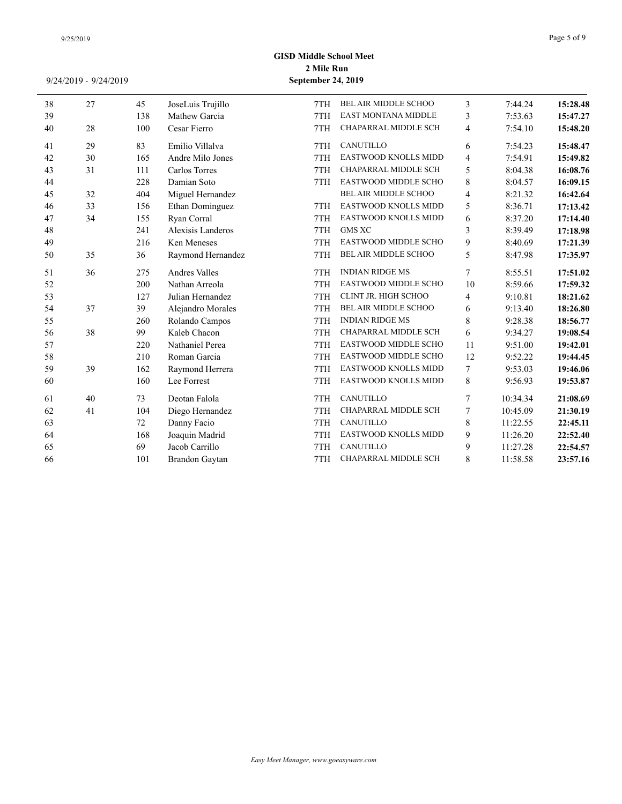| 38 | 27 | 45  | JoseLuis Trujillo     | 7TH | <b>BEL AIR MIDDLE SCHOO</b> | 3                        | 7:44.24  | 15:28.48 |
|----|----|-----|-----------------------|-----|-----------------------------|--------------------------|----------|----------|
| 39 |    | 138 | Mathew Garcia         | 7TH | EAST MONTANA MIDDLE         | 3                        | 7:53.63  | 15:47.27 |
| 40 | 28 | 100 | Cesar Fierro          | 7TH | CHAPARRAL MIDDLE SCH        | $\overline{4}$           | 7:54.10  | 15:48.20 |
| 41 | 29 | 83  | Emilio Villalva       | 7TH | CANUTILLO                   | 6                        | 7:54.23  | 15:48.47 |
| 42 | 30 | 165 | Andre Milo Jones      | 7TH | <b>EASTWOOD KNOLLS MIDD</b> | $\overline{4}$           | 7:54.91  | 15:49.82 |
| 43 | 31 | 111 | Carlos Torres         | 7TH | CHAPARRAL MIDDLE SCH        | 5                        | 8:04.38  | 16:08.76 |
| 44 |    | 228 | Damian Soto           | 7TH | EASTWOOD MIDDLE SCHO        | 8                        | 8:04.57  | 16:09.15 |
| 45 | 32 | 404 | Miguel Hernandez      |     | <b>BEL AIR MIDDLE SCHOO</b> | $\overline{\mathcal{L}}$ | 8:21.32  | 16:42.64 |
| 46 | 33 | 156 | Ethan Dominguez       | 7TH | EASTWOOD KNOLLS MIDD        | 5                        | 8:36.71  | 17:13.42 |
| 47 | 34 | 155 | Ryan Corral           | 7TH | EASTWOOD KNOLLS MIDD        | 6                        | 8:37.20  | 17:14.40 |
| 48 |    | 241 | Alexisis Landeros     | 7TH | <b>GMS XC</b>               | 3                        | 8:39.49  | 17:18.98 |
| 49 |    | 216 | Ken Meneses           | 7TH | EASTWOOD MIDDLE SCHO        | 9                        | 8:40.69  | 17:21.39 |
| 50 | 35 | 36  | Raymond Hernandez     | 7TH | BEL AIR MIDDLE SCHOO        | 5                        | 8:47.98  | 17:35.97 |
| 51 | 36 | 275 | Andres Valles         | 7TH | <b>INDIAN RIDGE MS</b>      | 7                        | 8:55.51  | 17:51.02 |
| 52 |    | 200 | Nathan Arreola        | 7TH | EASTWOOD MIDDLE SCHO        | 10                       | 8:59.66  | 17:59.32 |
| 53 |    | 127 | Julian Hernandez      | 7TH | CLINT JR. HIGH SCHOO        | $\overline{4}$           | 9:10.81  | 18:21.62 |
| 54 | 37 | 39  | Alejandro Morales     | 7TH | <b>BEL AIR MIDDLE SCHOO</b> | 6                        | 9:13.40  | 18:26.80 |
| 55 |    | 260 | Rolando Campos        | 7TH | <b>INDIAN RIDGE MS</b>      | 8                        | 9:28.38  | 18:56.77 |
| 56 | 38 | 99  | Kaleb Chacon          | 7TH | CHAPARRAL MIDDLE SCH        | 6                        | 9:34.27  | 19:08.54 |
| 57 |    | 220 | Nathaniel Perea       | 7TH | EASTWOOD MIDDLE SCHO        | 11                       | 9:51.00  | 19:42.01 |
| 58 |    | 210 | Roman Garcia          | 7TH | EASTWOOD MIDDLE SCHO        | 12                       | 9:52.22  | 19:44.45 |
| 59 | 39 | 162 | Raymond Herrera       | 7TH | <b>EASTWOOD KNOLLS MIDD</b> | 7                        | 9:53.03  | 19:46.06 |
| 60 |    | 160 | Lee Forrest           | 7TH | EASTWOOD KNOLLS MIDD        | 8                        | 9:56.93  | 19:53.87 |
| 61 | 40 | 73  | Deotan Falola         | 7TH | <b>CANUTILLO</b>            | 7                        | 10:34.34 | 21:08.69 |
| 62 | 41 | 104 | Diego Hernandez       | 7TH | CHAPARRAL MIDDLE SCH        | 7                        | 10:45.09 | 21:30.19 |
| 63 |    | 72  | Danny Facio           | 7TH | <b>CANUTILLO</b>            | 8                        | 11:22.55 | 22:45.11 |
| 64 |    | 168 | Joaquin Madrid        | 7TH | EASTWOOD KNOLLS MIDD        | 9                        | 11:26.20 | 22:52.40 |
| 65 |    | 69  | Jacob Carrillo        | 7TH | CANUTILLO                   | 9                        | 11:27.28 | 22:54.57 |
| 66 |    | 101 | <b>Brandon Gaytan</b> | 7TH | CHAPARRAL MIDDLE SCH        | 8                        | 11:58.58 | 23:57.16 |
|    |    |     |                       |     |                             |                          |          |          |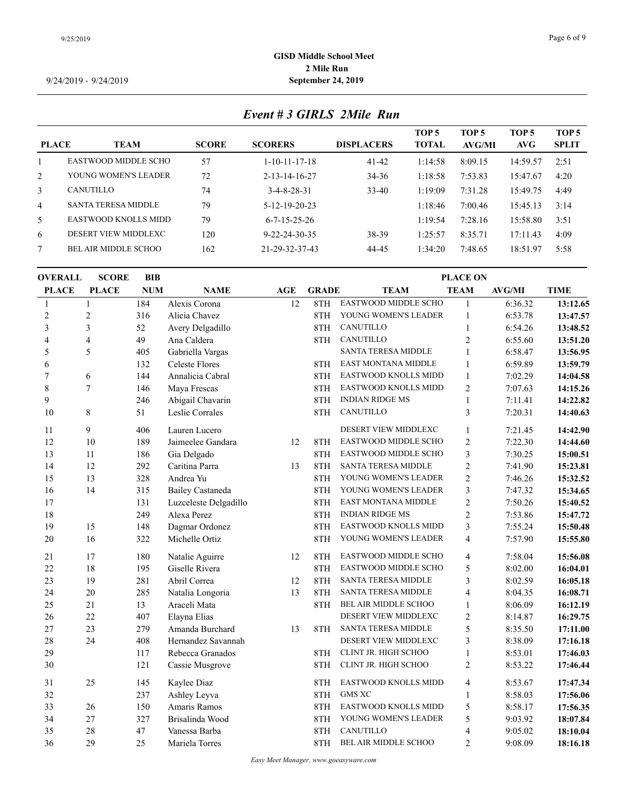*Event # 3 GIRLS 2Mile Run*

| <b>PLACE</b>   | <b>TEAM</b>                 | <b>SCORE</b> | <b>SCORERS</b>          | <b>DISPLACERS</b> | TOP <sub>5</sub><br><b>TOTAL</b> | TOP <sub>5</sub><br><b>AVG/MI</b> | TOP <sub>5</sub><br>AVG | TOP <sub>5</sub><br><b>SPLIT</b> |
|----------------|-----------------------------|--------------|-------------------------|-------------------|----------------------------------|-----------------------------------|-------------------------|----------------------------------|
|                |                             |              |                         |                   |                                  |                                   |                         |                                  |
|                | EASTWOOD MIDDLE SCHO        | 57           | $1 - 10 - 11 - 17 - 18$ | 41-42             | 1:14:58                          | 8:09.15                           | 14:59.57                | 2:51                             |
| 2              | YOUNG WOMEN'S LEADER        | 72           | $2 - 13 - 14 - 16 - 27$ | 34-36             | 1:18:58                          | 7:53.83                           | 15:47.67                | 4:20                             |
| 3              | <b>CANUTILLO</b>            | 74           | $3-4-8-28-31$           | $33 - 40$         | 1:19:09                          | 7:31.28                           | 15:49.75                | 4:49                             |
| $\overline{4}$ | <b>SANTA TERESA MIDDLE</b>  | 79           | 5-12-19-20-23           |                   | 1:18:46                          | 7:00.46                           | 15:45.13                | 3:14                             |
| 5              | EASTWOOD KNOLLS MIDD        | 79           | $6 - 7 - 15 - 25 - 26$  |                   | 1:19:54                          | 7:28.16                           | 15:58.80                | 3:51                             |
| 6              | DESERT VIEW MIDDLEXC        | 120          | $9 - 22 - 24 - 30 - 35$ | 38-39             | l:25:57                          | 8:35.71                           | 17:11.43                | 4:09                             |
|                | <b>BEL AIR MIDDLE SCHOO</b> | 162          | 21-29-32-37-43          | 44-45             | l:34:20                          | 7:48.65                           | 18:51.97                | 5:58                             |
|                |                             |              |                         |                   |                                  |                                   |                         |                                  |

| <b>OVERALL</b> | <b>SCORE</b>   | <b>BIB</b> |                         |     |              | <b>PLACE ON</b>             |                |               |             |  |
|----------------|----------------|------------|-------------------------|-----|--------------|-----------------------------|----------------|---------------|-------------|--|
| <b>PLACE</b>   | <b>PLACE</b>   | <b>NUM</b> | <b>NAME</b>             | AGE | <b>GRADE</b> | <b>TEAM</b>                 | <b>TEAM</b>    | <b>AVG/MI</b> | <b>TIME</b> |  |
| 1              | $\mathbf{1}$   | 184        | Alexis Corona           | 12  | 8TH          | EASTWOOD MIDDLE SCHO        | $\mathbf{1}$   | 6:36.32       | 13:12.65    |  |
| $\overline{2}$ | $\overline{2}$ | 316        | Alicia Chavez           |     | 8TH          | YOUNG WOMEN'S LEADER        | $\mathbf{1}$   | 6:53.78       | 13:47.57    |  |
| 3              | $\mathfrak{Z}$ | 52         | Avery Delgadillo        |     | 8TH          | CANUTILLO                   | $\mathbf{1}$   | 6:54.26       | 13:48.52    |  |
| 4              | $\overline{4}$ | 49         | Ana Caldera             |     | 8TH          | CANUTILLO                   | $\sqrt{2}$     | 6:55.60       | 13:51.20    |  |
| 5              | 5              | 405        | Gabriella Vargas        |     |              | <b>SANTA TERESA MIDDLE</b>  | $\mathbf{1}$   | 6:58.47       | 13:56.95    |  |
| 6              |                | 132        | <b>Celeste Flores</b>   |     | 8TH          | <b>EAST MONTANA MIDDLE</b>  | $\mathbf{1}$   | 6:59.89       | 13:59.79    |  |
| 7              | 6              | 144        | Annalicia Cabral        |     | 8TH          | EASTWOOD KNOLLS MIDD        | $\mathbf{1}$   | 7:02.29       | 14:04.58    |  |
| 8              | $\overline{7}$ | 146        | Maya Frescas            |     | 8TH          | EASTWOOD KNOLLS MIDD        | $\sqrt{2}$     | 7:07.63       | 14:15.26    |  |
| 9              |                | 246        | Abigail Chavarin        |     | 8TH          | <b>INDIAN RIDGE MS</b>      | $\mathbf{1}$   | 7:11.41       | 14:22.82    |  |
| $10\,$         | $\,$ 8 $\,$    | 51         | Leslie Corrales         |     | 8TH          | CANUTILLO                   | $\mathfrak{Z}$ | 7:20.31       | 14:40.63    |  |
| 11             | 9              | 406        | Lauren Lucero           |     |              | DESERT VIEW MIDDLEXC        | 1              | 7:21.45       | 14:42.90    |  |
| 12             | 10             | 189        | Jaimeelee Gandara       | 12  | 8TH          | EASTWOOD MIDDLE SCHO        | $\sqrt{2}$     | 7:22.30       | 14:44.60    |  |
| 13             | 11             | 186        | Gia Delgado             |     | 8TH          | EASTWOOD MIDDLE SCHO        | $\mathfrak{Z}$ | 7:30.25       | 15:00.51    |  |
| 14             | 12             | 292        | Caritina Parra          | 13  | 8TH          | <b>SANTA TERESA MIDDLE</b>  | $\overline{c}$ | 7:41.90       | 15:23.81    |  |
| 15             | 13             | 328        | Andrea Yu               |     | 8TH          | YOUNG WOMEN'S LEADER        | $\overline{2}$ | 7:46.26       | 15:32.52    |  |
| 16             | 14             | 315        | <b>Bailey Castaneda</b> |     | 8TH          | YOUNG WOMEN'S LEADER        | $\mathfrak{Z}$ | 7:47.32       | 15:34.65    |  |
| 17             |                | 131        | Luzceleste Delgadillo   |     | 8TH          | <b>EAST MONTANA MIDDLE</b>  | $\mathfrak{2}$ | 7:50.26       | 15:40.52    |  |
| 18             |                | 249        | Alexa Perez             |     | 8TH          | <b>INDIAN RIDGE MS</b>      | $\mathfrak{2}$ | 7:53.86       | 15:47.72    |  |
| 19             | 15             | 148        | Dagmar Ordonez          |     | 8TH          | EASTWOOD KNOLLS MIDD        | 3              | 7:55.24       | 15:50.48    |  |
| 20             | 16             | 322        | Michelle Ortiz          |     | 8TH          | YOUNG WOMEN'S LEADER        | $\overline{4}$ | 7:57.90       | 15:55.80    |  |
| 21             | 17             | 180        | Natalie Aguirre         | 12  | 8TH          | EASTWOOD MIDDLE SCHO        | $\overline{4}$ | 7:58.04       | 15:56.08    |  |
| 22             | 18             | 195        | Giselle Rivera          |     | 8TH          | EASTWOOD MIDDLE SCHO        | 5              | 8:02.00       | 16:04.01    |  |
| 23             | 19             | 281        | Abril Correa            | 12  | 8TH          | <b>SANTA TERESA MIDDLE</b>  | 3              | 8:02.59       | 16:05.18    |  |
| 24             | 20             | 285        | Natalia Longoria        | 13  | 8TH          | <b>SANTA TERESA MIDDLE</b>  | 4              | 8:04.35       | 16:08.71    |  |
| 25             | 21             | 13         | Araceli Mata            |     | 8TH          | BEL AIR MIDDLE SCHOO        | $\mathbf{1}$   | 8:06.09       | 16:12.19    |  |
| 26             | 22             | 407        | Elayna Elias            |     |              | DESERT VIEW MIDDLEXC        | $\overline{2}$ | 8:14.87       | 16:29.75    |  |
| 27             | 23             | 279        | Amanda Burchard         | 13  | 8TH          | <b>SANTA TERESA MIDDLE</b>  | 5              | 8:35.50       | 17:11.00    |  |
| 28             | 24             | 408        | Hernandez Savannah      |     |              | DESERT VIEW MIDDLEXC        | 3              | 8:38.09       | 17:16.18    |  |
| 29             |                | 117        | Rebecca Granados        |     | 8TH          | CLINT JR. HIGH SCHOO        | 1              | 8:53.01       | 17:46.03    |  |
| 30             |                | 121        | Cassie Musgrove         |     | 8TH          | CLINT JR. HIGH SCHOO        | $\overline{2}$ | 8:53.22       | 17:46.44    |  |
| 31             | 25             | 145        | Kaylee Diaz             |     | 8TH          | EASTWOOD KNOLLS MIDD        | $\overline{4}$ | 8:53.67       | 17:47.34    |  |
| 32             |                | 237        | Ashley Leyva            |     | 8TH          | <b>GMS XC</b>               | $\mathbf{1}$   | 8:58.03       | 17:56.06    |  |
| 33             | 26             | 150        | Amaris Ramos            |     | 8TH          | EASTWOOD KNOLLS MIDD        | 5              | 8:58.17       | 17:56.35    |  |
| 34             | $27\,$         | 327        | Brisalinda Wood         |     | 8TH          | YOUNG WOMEN'S LEADER        | 5              | 9:03.92       | 18:07.84    |  |
| 35             | 28             | 47         | Vanessa Barba           |     | 8TH          | CANUTILLO                   | $\overline{4}$ | 9:05.02       | 18:10.04    |  |
| 36             | 29             | 25         | Mariela Torres          |     | 8TH          | <b>BEL AIR MIDDLE SCHOO</b> | $\overline{2}$ | 9:08.09       | 18:16.18    |  |
|                |                |            |                         |     |              |                             |                |               |             |  |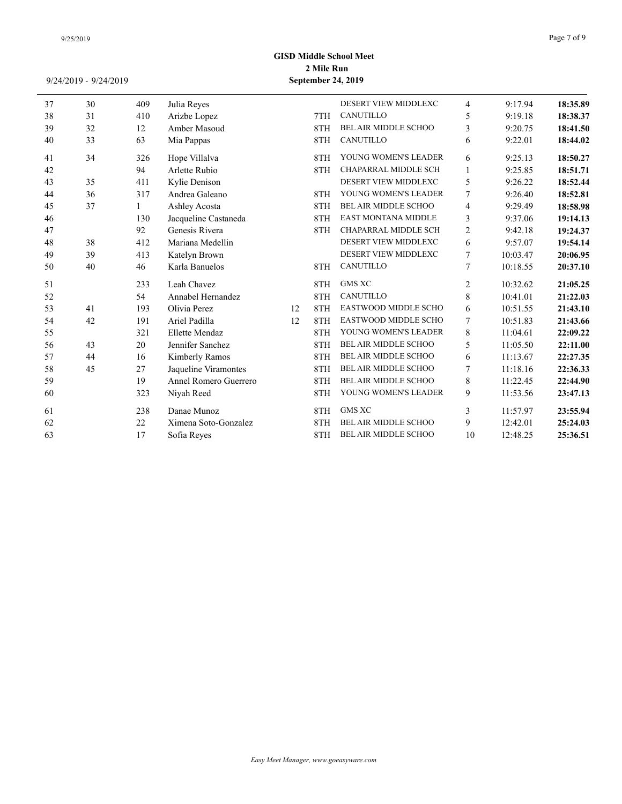| 37 | 30 | 409 | Julia Reyes           |    |     | DESERT VIEW MIDDLEXC        | $\overline{4}$ | 9:17.94  | 18:35.89 |
|----|----|-----|-----------------------|----|-----|-----------------------------|----------------|----------|----------|
| 38 | 31 | 410 | Arizbe Lopez          |    | 7TH | <b>CANUTILLO</b>            | 5              | 9:19.18  | 18:38.37 |
| 39 | 32 | 12  | Amber Masoud          |    | 8TH | <b>BEL AIR MIDDLE SCHOO</b> | 3              | 9:20.75  | 18:41.50 |
| 40 | 33 | 63  | Mia Pappas            |    | 8TH | <b>CANUTILLO</b>            | 6              | 9:22.01  | 18:44.02 |
| 41 | 34 | 326 | Hope Villalva         |    | 8TH | YOUNG WOMEN'S LEADER        | 6              | 9:25.13  | 18:50.27 |
| 42 |    | 94  | Arlette Rubio         |    | 8TH | <b>CHAPARRAL MIDDLE SCH</b> | $\mathbf{1}$   | 9:25.85  | 18:51.71 |
| 43 | 35 | 411 | Kylie Denison         |    |     | DESERT VIEW MIDDLEXC        | 5              | 9:26.22  | 18:52.44 |
| 44 | 36 | 317 | Andrea Galeano        |    | 8TH | YOUNG WOMEN'S LEADER        | $\overline{7}$ | 9:26.40  | 18:52.81 |
| 45 | 37 |     | Ashley Acosta         |    | 8TH | <b>BEL AIR MIDDLE SCHOO</b> | $\overline{4}$ | 9:29.49  | 18:58.98 |
| 46 |    | 130 | Jacqueline Castaneda  |    | 8TH | <b>EAST MONTANA MIDDLE</b>  | 3              | 9:37.06  | 19:14.13 |
| 47 |    | 92  | Genesis Rivera        |    | 8TH | CHAPARRAL MIDDLE SCH        | $\mathfrak{2}$ | 9:42.18  | 19:24.37 |
| 48 | 38 | 412 | Mariana Medellin      |    |     | DESERT VIEW MIDDLEXC        | 6              | 9:57.07  | 19:54.14 |
| 49 | 39 | 413 | Katelyn Brown         |    |     | <b>DESERT VIEW MIDDLEXC</b> | $\tau$         | 10:03.47 | 20:06.95 |
| 50 | 40 | 46  | Karla Banuelos        |    | 8TH | <b>CANUTILLO</b>            | $\overline{7}$ | 10:18.55 | 20:37.10 |
| 51 |    | 233 | Leah Chavez           |    | 8TH | <b>GMS XC</b>               | $\overline{2}$ | 10:32.62 | 21:05.25 |
| 52 |    | 54  | Annabel Hernandez     |    | 8TH | <b>CANUTILLO</b>            | $\,$ 8 $\,$    | 10:41.01 | 21:22.03 |
| 53 | 41 | 193 | Olivia Perez          | 12 | 8TH | <b>EASTWOOD MIDDLE SCHO</b> | 6              | 10:51.55 | 21:43.10 |
| 54 | 42 | 191 | Ariel Padilla         | 12 | 8TH | EASTWOOD MIDDLE SCHO        | $\tau$         | 10:51.83 | 21:43.66 |
| 55 |    | 321 | Ellette Mendaz        |    | 8TH | YOUNG WOMEN'S LEADER        | $\,$ 8 $\,$    | 11:04.61 | 22:09.22 |
| 56 | 43 | 20  | Jennifer Sanchez      |    | 8TH | <b>BEL AIR MIDDLE SCHOO</b> | 5              | 11:05.50 | 22:11.00 |
| 57 | 44 | 16  | Kimberly Ramos        |    | 8TH | BEL AIR MIDDLE SCHOO        | 6              | 11:13.67 | 22:27.35 |
| 58 | 45 | 27  | Jaqueline Viramontes  |    | 8TH | <b>BEL AIR MIDDLE SCHOO</b> | $\overline{7}$ | 11:18.16 | 22:36.33 |
| 59 |    | 19  | Annel Romero Guerrero |    | 8TH | BEL AIR MIDDLE SCHOO        | 8              | 11:22.45 | 22:44.90 |
| 60 |    | 323 | Niyah Reed            |    | 8TH | YOUNG WOMEN'S LEADER        | 9              | 11:53.56 | 23:47.13 |
| 61 |    | 238 | Danae Munoz           |    | 8TH | <b>GMS XC</b>               | 3              | 11:57.97 | 23:55.94 |
| 62 |    | 22  | Ximena Soto-Gonzalez  |    | 8TH | <b>BEL AIR MIDDLE SCHOO</b> | 9              | 12:42.01 | 25:24.03 |
| 63 |    | 17  | Sofia Reyes           |    | 8TH | <b>BEL AIR MIDDLE SCHOO</b> | 10             | 12:48.25 | 25:36.51 |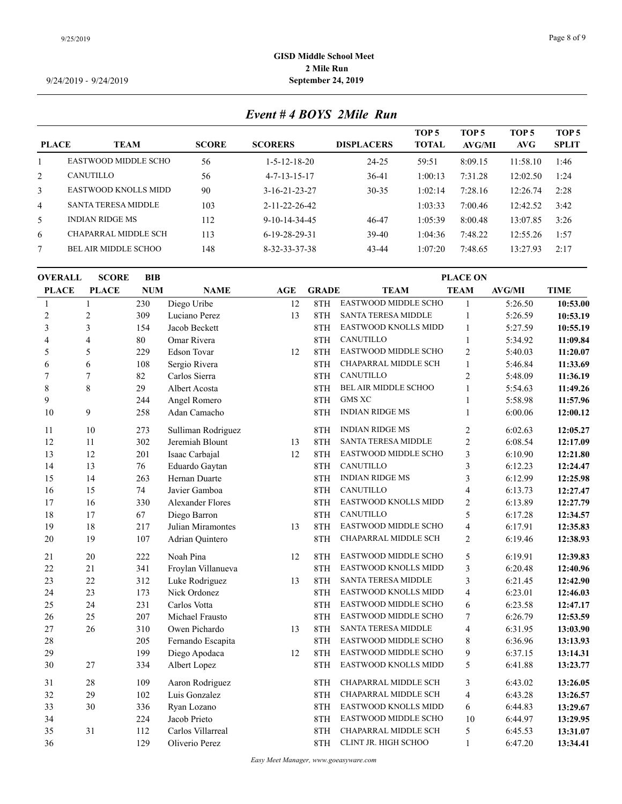### 9/25/2019 Page 8 of 9

# **GISD Middle School Meet 2 Mile Run** 9/24/2019 - 9/24/2019 **September 24, 2019**

*Event # 4 BOYS 2Mile Run*

|                |                             |              |                         |                   | TOP <sub>5</sub> | TOP <sub>5</sub> | TOP 5    | TOP <sub>5</sub> |
|----------------|-----------------------------|--------------|-------------------------|-------------------|------------------|------------------|----------|------------------|
| <b>PLACE</b>   | <b>TEAM</b>                 | <b>SCORE</b> | <b>SCORERS</b>          | <b>DISPLACERS</b> | <b>TOTAL</b>     | AVG/MI           | AVG      | <b>SPLIT</b>     |
|                | EASTWOOD MIDDLE SCHO        | 56           | $1 - 5 - 12 - 18 - 20$  | 24-25             | 59:51            | 8:09.15          | 11:58.10 | 1:46             |
| 2              | CANUTILLO                   | 56           | $4 - 7 - 13 - 15 - 17$  | $36-41$           | 1:00:13          | 7:31.28          | 12:02.50 | 1:24             |
| 3              | EASTWOOD KNOLLS MIDD        | 90           | $3-16-21-23-27$         | $30 - 35$         | 1:02:14          | 7:28.16          | 12:26.74 | 2:28             |
| $\overline{4}$ | <b>SANTA TERESA MIDDLE</b>  | 103          | $2 - 11 - 22 - 26 - 42$ |                   | 1:03:33          | 7:00.46          | 12:42.52 | 3:42             |
| 5.             | <b>INDIAN RIDGE MS</b>      | 112          | $9-10-14-34-45$         | 46-47             | 1:05:39          | 8:00.48          | 13:07.85 | 3:26             |
| 6              | <b>CHAPARRAL MIDDLE SCH</b> | 113          | $6-19-28-29-31$         | $39-40$           | 1:04:36          | 7:48.22          | 12:55.26 | 1:57             |
|                | BEL AIR MIDDLE SCHOO        | 148          | 8-32-33-37-38           | 43-44             | 1:07:20          | 7:48.65          | 13:27.93 | 2:17             |
|                |                             |              |                         |                   |                  |                  |          |                  |

| <b>PLACE</b><br><b>PLACE</b><br><b>NUM</b><br><b>GRADE</b><br><b>TEAM</b><br><b>TEAM</b><br><b>AVG/MI</b><br><b>NAME</b><br>AGE<br><b>TIME</b><br>EASTWOOD MIDDLE SCHO<br>Diego Uribe<br>12<br>8TH<br>230<br>5:26.50<br>$\mathbf{1}$<br>$\mathbf{1}$<br>1<br>$\overline{c}$<br><b>SANTA TERESA MIDDLE</b><br>$\sqrt{2}$<br>309<br>Luciano Perez<br>13<br>8TH<br>5:26.59<br>$\mathbf{1}$<br>3<br>3<br>154<br>Jacob Beckett<br>EASTWOOD KNOLLS MIDD<br>$\mathbf{1}$<br>8TH<br>5:27.59<br>$80\,$<br>CANUTILLO<br>$\mathbf{1}$<br>5:34.92<br>4<br>$\overline{4}$<br>Omar Rivera<br>8TH<br>EASTWOOD MIDDLE SCHO<br>$\sqrt{2}$<br>5<br>5<br>229<br>12<br>5:40.03<br>Edson Tovar<br>8TH<br>108<br>8TH<br>CHAPARRAL MIDDLE SCH<br>$\mathbf{1}$<br>5:46.84<br>6<br>Sergio Rivera<br>6<br>7<br>7<br>82<br>CANUTILLO<br>$\overline{2}$<br>5:48.09<br>Carlos Sierra<br>8TH<br>8<br>8<br>29<br><b>BEL AIR MIDDLE SCHOO</b><br>$\mathbf{1}$<br>Albert Acosta<br>5:54.63<br>8TH<br>9<br>244<br><b>GMS XC</b><br>5:58.98<br>Angel Romero<br>8TH<br>$\mathbf{1}$<br>9<br><b>INDIAN RIDGE MS</b><br>10<br>6:00.06<br>258<br>Adan Camacho<br>8TH<br>$\mathbf{1}$<br><b>INDIAN RIDGE MS</b><br>273<br>8TH<br>$\overline{2}$<br>6:02.63<br>10<br>Sulliman Rodriguez<br>11<br>$\overline{c}$<br>12<br>11<br>302<br><b>SANTA TERESA MIDDLE</b><br>6:08.54<br>Jeremiah Blount<br>13<br>8TH<br>13<br>201<br>3<br>12<br>12<br>8TH<br>EASTWOOD MIDDLE SCHO<br>6:10.90<br>Isaac Carbajal<br>14<br>3<br>13<br>76<br>Eduardo Gaytan<br>CANUTILLO<br>6:12.23<br>8TH<br>15<br>14<br><b>INDIAN RIDGE MS</b><br>$\mathfrak{Z}$<br>263<br>Hernan Duarte<br>8TH<br>6:12.99<br>CANUTILLO<br>16<br>15<br>74<br>$\overline{\mathbf{4}}$<br>Javier Gamboa<br>8TH<br>6:13.73<br>$\overline{2}$<br>17<br>16<br>330<br>Alexander Flores<br>EASTWOOD KNOLLS MIDD<br>6:13.89<br>8TH<br>CANUTILLO<br>5<br>18<br>17<br>67<br>6:17.28<br>Diego Barron<br>8TH<br>EASTWOOD MIDDLE SCHO<br>$\overline{\mathbf{4}}$<br>19<br>18<br>217<br>Julian Miramontes<br>13<br>8TH<br>6:17.91<br>CHAPARRAL MIDDLE SCH<br>$\mathfrak{2}$<br>20<br>19<br>107<br>Adrian Quintero<br>8TH<br>6:19.46<br>21<br>20<br>222<br>Noah Pina<br>12<br>8TH<br>EASTWOOD MIDDLE SCHO<br>5<br>6:19.91<br>EASTWOOD KNOLLS MIDD<br>$\mathfrak{Z}$<br>22<br>21<br>341<br>Froylan Villanueva<br>8TH<br>6:20.48<br>23<br>22<br>312<br>13<br>3<br>6:21.45<br>Luke Rodriguez<br>8TH<br><b>SANTA TERESA MIDDLE</b><br>23<br>24<br>173<br>6:23.01<br>Nick Ordonez<br>EASTWOOD KNOLLS MIDD<br>4<br>8TH<br>25<br>24<br>231<br>Carlos Votta<br>EASTWOOD MIDDLE SCHO<br>6:23.58<br>8TH<br>6<br>EASTWOOD MIDDLE SCHO<br>26<br>25<br>207<br>$\tau$<br>6:26.79<br>Michael Frausto<br>8TH<br>27<br>26<br>310<br>Owen Pichardo<br>13<br><b>SANTA TERESA MIDDLE</b><br>$\overline{4}$<br>6:31.95<br>8TH<br>28<br>EASTWOOD MIDDLE SCHO<br>$\,8\,$<br>6:36.96<br>205<br>8TH<br>Fernando Escapita<br>29<br>199<br>EASTWOOD MIDDLE SCHO<br>9<br>6:37.15<br>Diego Apodaca<br>12<br>8TH<br>5<br>30<br>27<br>334<br>EASTWOOD KNOLLS MIDD<br>6:41.88<br>Albert Lopez<br>8TH<br>109<br>CHAPARRAL MIDDLE SCH<br>6:43.02<br>31<br>28<br>Aaron Rodriguez<br>8TH<br>3<br>32<br>29<br>102<br>CHAPARRAL MIDDLE SCH<br>Luis Gonzalez<br>8TH<br>4<br>6:43.28<br>33<br>30<br>336<br>EASTWOOD KNOLLS MIDD<br>6:44.83<br>Ryan Lozano<br>8TH<br>6<br>34<br>224<br>EASTWOOD MIDDLE SCHO<br>10<br>6:44.97<br>Jacob Prieto<br>8TH<br>35<br>CHAPARRAL MIDDLE SCH<br>5<br>31<br>112<br>Carlos Villarreal<br>8TH<br>6:45.53 | <b>OVERALL</b> | <b>SCORE</b><br><b>BIB</b> |     |                |  | <b>PLACE ON</b> |                      |              |         |          |  |  |
|------------------------------------------------------------------------------------------------------------------------------------------------------------------------------------------------------------------------------------------------------------------------------------------------------------------------------------------------------------------------------------------------------------------------------------------------------------------------------------------------------------------------------------------------------------------------------------------------------------------------------------------------------------------------------------------------------------------------------------------------------------------------------------------------------------------------------------------------------------------------------------------------------------------------------------------------------------------------------------------------------------------------------------------------------------------------------------------------------------------------------------------------------------------------------------------------------------------------------------------------------------------------------------------------------------------------------------------------------------------------------------------------------------------------------------------------------------------------------------------------------------------------------------------------------------------------------------------------------------------------------------------------------------------------------------------------------------------------------------------------------------------------------------------------------------------------------------------------------------------------------------------------------------------------------------------------------------------------------------------------------------------------------------------------------------------------------------------------------------------------------------------------------------------------------------------------------------------------------------------------------------------------------------------------------------------------------------------------------------------------------------------------------------------------------------------------------------------------------------------------------------------------------------------------------------------------------------------------------------------------------------------------------------------------------------------------------------------------------------------------------------------------------------------------------------------------------------------------------------------------------------------------------------------------------------------------------------------------------------------------------------------------------------------------------------------------------------------------------------------------------------------------------------------------------------------------------------------------------------------------------------------------------------------------------------------------------------------------------------------------------------------------------------------------------------------------------------------------------------------------|----------------|----------------------------|-----|----------------|--|-----------------|----------------------|--------------|---------|----------|--|--|
|                                                                                                                                                                                                                                                                                                                                                                                                                                                                                                                                                                                                                                                                                                                                                                                                                                                                                                                                                                                                                                                                                                                                                                                                                                                                                                                                                                                                                                                                                                                                                                                                                                                                                                                                                                                                                                                                                                                                                                                                                                                                                                                                                                                                                                                                                                                                                                                                                                                                                                                                                                                                                                                                                                                                                                                                                                                                                                                                                                                                                                                                                                                                                                                                                                                                                                                                                                                                                                                                                                |                |                            |     |                |  |                 |                      |              |         |          |  |  |
|                                                                                                                                                                                                                                                                                                                                                                                                                                                                                                                                                                                                                                                                                                                                                                                                                                                                                                                                                                                                                                                                                                                                                                                                                                                                                                                                                                                                                                                                                                                                                                                                                                                                                                                                                                                                                                                                                                                                                                                                                                                                                                                                                                                                                                                                                                                                                                                                                                                                                                                                                                                                                                                                                                                                                                                                                                                                                                                                                                                                                                                                                                                                                                                                                                                                                                                                                                                                                                                                                                |                |                            |     |                |  |                 |                      |              |         | 10:53.00 |  |  |
|                                                                                                                                                                                                                                                                                                                                                                                                                                                                                                                                                                                                                                                                                                                                                                                                                                                                                                                                                                                                                                                                                                                                                                                                                                                                                                                                                                                                                                                                                                                                                                                                                                                                                                                                                                                                                                                                                                                                                                                                                                                                                                                                                                                                                                                                                                                                                                                                                                                                                                                                                                                                                                                                                                                                                                                                                                                                                                                                                                                                                                                                                                                                                                                                                                                                                                                                                                                                                                                                                                |                |                            |     |                |  |                 |                      |              |         | 10:53.19 |  |  |
|                                                                                                                                                                                                                                                                                                                                                                                                                                                                                                                                                                                                                                                                                                                                                                                                                                                                                                                                                                                                                                                                                                                                                                                                                                                                                                                                                                                                                                                                                                                                                                                                                                                                                                                                                                                                                                                                                                                                                                                                                                                                                                                                                                                                                                                                                                                                                                                                                                                                                                                                                                                                                                                                                                                                                                                                                                                                                                                                                                                                                                                                                                                                                                                                                                                                                                                                                                                                                                                                                                |                |                            |     |                |  |                 |                      |              |         | 10:55.19 |  |  |
|                                                                                                                                                                                                                                                                                                                                                                                                                                                                                                                                                                                                                                                                                                                                                                                                                                                                                                                                                                                                                                                                                                                                                                                                                                                                                                                                                                                                                                                                                                                                                                                                                                                                                                                                                                                                                                                                                                                                                                                                                                                                                                                                                                                                                                                                                                                                                                                                                                                                                                                                                                                                                                                                                                                                                                                                                                                                                                                                                                                                                                                                                                                                                                                                                                                                                                                                                                                                                                                                                                |                |                            |     |                |  |                 |                      |              |         | 11:09.84 |  |  |
|                                                                                                                                                                                                                                                                                                                                                                                                                                                                                                                                                                                                                                                                                                                                                                                                                                                                                                                                                                                                                                                                                                                                                                                                                                                                                                                                                                                                                                                                                                                                                                                                                                                                                                                                                                                                                                                                                                                                                                                                                                                                                                                                                                                                                                                                                                                                                                                                                                                                                                                                                                                                                                                                                                                                                                                                                                                                                                                                                                                                                                                                                                                                                                                                                                                                                                                                                                                                                                                                                                |                |                            |     |                |  |                 |                      |              |         | 11:20.07 |  |  |
|                                                                                                                                                                                                                                                                                                                                                                                                                                                                                                                                                                                                                                                                                                                                                                                                                                                                                                                                                                                                                                                                                                                                                                                                                                                                                                                                                                                                                                                                                                                                                                                                                                                                                                                                                                                                                                                                                                                                                                                                                                                                                                                                                                                                                                                                                                                                                                                                                                                                                                                                                                                                                                                                                                                                                                                                                                                                                                                                                                                                                                                                                                                                                                                                                                                                                                                                                                                                                                                                                                |                |                            |     |                |  |                 |                      |              |         | 11:33.69 |  |  |
|                                                                                                                                                                                                                                                                                                                                                                                                                                                                                                                                                                                                                                                                                                                                                                                                                                                                                                                                                                                                                                                                                                                                                                                                                                                                                                                                                                                                                                                                                                                                                                                                                                                                                                                                                                                                                                                                                                                                                                                                                                                                                                                                                                                                                                                                                                                                                                                                                                                                                                                                                                                                                                                                                                                                                                                                                                                                                                                                                                                                                                                                                                                                                                                                                                                                                                                                                                                                                                                                                                |                |                            |     |                |  |                 |                      |              |         | 11:36.19 |  |  |
|                                                                                                                                                                                                                                                                                                                                                                                                                                                                                                                                                                                                                                                                                                                                                                                                                                                                                                                                                                                                                                                                                                                                                                                                                                                                                                                                                                                                                                                                                                                                                                                                                                                                                                                                                                                                                                                                                                                                                                                                                                                                                                                                                                                                                                                                                                                                                                                                                                                                                                                                                                                                                                                                                                                                                                                                                                                                                                                                                                                                                                                                                                                                                                                                                                                                                                                                                                                                                                                                                                |                |                            |     |                |  |                 |                      |              |         | 11:49.26 |  |  |
|                                                                                                                                                                                                                                                                                                                                                                                                                                                                                                                                                                                                                                                                                                                                                                                                                                                                                                                                                                                                                                                                                                                                                                                                                                                                                                                                                                                                                                                                                                                                                                                                                                                                                                                                                                                                                                                                                                                                                                                                                                                                                                                                                                                                                                                                                                                                                                                                                                                                                                                                                                                                                                                                                                                                                                                                                                                                                                                                                                                                                                                                                                                                                                                                                                                                                                                                                                                                                                                                                                |                |                            |     |                |  |                 |                      |              |         | 11:57.96 |  |  |
|                                                                                                                                                                                                                                                                                                                                                                                                                                                                                                                                                                                                                                                                                                                                                                                                                                                                                                                                                                                                                                                                                                                                                                                                                                                                                                                                                                                                                                                                                                                                                                                                                                                                                                                                                                                                                                                                                                                                                                                                                                                                                                                                                                                                                                                                                                                                                                                                                                                                                                                                                                                                                                                                                                                                                                                                                                                                                                                                                                                                                                                                                                                                                                                                                                                                                                                                                                                                                                                                                                |                |                            |     |                |  |                 |                      |              |         | 12:00.12 |  |  |
|                                                                                                                                                                                                                                                                                                                                                                                                                                                                                                                                                                                                                                                                                                                                                                                                                                                                                                                                                                                                                                                                                                                                                                                                                                                                                                                                                                                                                                                                                                                                                                                                                                                                                                                                                                                                                                                                                                                                                                                                                                                                                                                                                                                                                                                                                                                                                                                                                                                                                                                                                                                                                                                                                                                                                                                                                                                                                                                                                                                                                                                                                                                                                                                                                                                                                                                                                                                                                                                                                                |                |                            |     |                |  |                 |                      |              |         | 12:05.27 |  |  |
|                                                                                                                                                                                                                                                                                                                                                                                                                                                                                                                                                                                                                                                                                                                                                                                                                                                                                                                                                                                                                                                                                                                                                                                                                                                                                                                                                                                                                                                                                                                                                                                                                                                                                                                                                                                                                                                                                                                                                                                                                                                                                                                                                                                                                                                                                                                                                                                                                                                                                                                                                                                                                                                                                                                                                                                                                                                                                                                                                                                                                                                                                                                                                                                                                                                                                                                                                                                                                                                                                                |                |                            |     |                |  |                 |                      |              |         | 12:17.09 |  |  |
|                                                                                                                                                                                                                                                                                                                                                                                                                                                                                                                                                                                                                                                                                                                                                                                                                                                                                                                                                                                                                                                                                                                                                                                                                                                                                                                                                                                                                                                                                                                                                                                                                                                                                                                                                                                                                                                                                                                                                                                                                                                                                                                                                                                                                                                                                                                                                                                                                                                                                                                                                                                                                                                                                                                                                                                                                                                                                                                                                                                                                                                                                                                                                                                                                                                                                                                                                                                                                                                                                                |                |                            |     |                |  |                 |                      |              |         | 12:21.80 |  |  |
|                                                                                                                                                                                                                                                                                                                                                                                                                                                                                                                                                                                                                                                                                                                                                                                                                                                                                                                                                                                                                                                                                                                                                                                                                                                                                                                                                                                                                                                                                                                                                                                                                                                                                                                                                                                                                                                                                                                                                                                                                                                                                                                                                                                                                                                                                                                                                                                                                                                                                                                                                                                                                                                                                                                                                                                                                                                                                                                                                                                                                                                                                                                                                                                                                                                                                                                                                                                                                                                                                                |                |                            |     |                |  |                 |                      |              |         | 12:24.47 |  |  |
|                                                                                                                                                                                                                                                                                                                                                                                                                                                                                                                                                                                                                                                                                                                                                                                                                                                                                                                                                                                                                                                                                                                                                                                                                                                                                                                                                                                                                                                                                                                                                                                                                                                                                                                                                                                                                                                                                                                                                                                                                                                                                                                                                                                                                                                                                                                                                                                                                                                                                                                                                                                                                                                                                                                                                                                                                                                                                                                                                                                                                                                                                                                                                                                                                                                                                                                                                                                                                                                                                                |                |                            |     |                |  |                 |                      |              |         | 12:25.98 |  |  |
|                                                                                                                                                                                                                                                                                                                                                                                                                                                                                                                                                                                                                                                                                                                                                                                                                                                                                                                                                                                                                                                                                                                                                                                                                                                                                                                                                                                                                                                                                                                                                                                                                                                                                                                                                                                                                                                                                                                                                                                                                                                                                                                                                                                                                                                                                                                                                                                                                                                                                                                                                                                                                                                                                                                                                                                                                                                                                                                                                                                                                                                                                                                                                                                                                                                                                                                                                                                                                                                                                                |                |                            |     |                |  |                 |                      |              |         | 12:27.47 |  |  |
|                                                                                                                                                                                                                                                                                                                                                                                                                                                                                                                                                                                                                                                                                                                                                                                                                                                                                                                                                                                                                                                                                                                                                                                                                                                                                                                                                                                                                                                                                                                                                                                                                                                                                                                                                                                                                                                                                                                                                                                                                                                                                                                                                                                                                                                                                                                                                                                                                                                                                                                                                                                                                                                                                                                                                                                                                                                                                                                                                                                                                                                                                                                                                                                                                                                                                                                                                                                                                                                                                                |                |                            |     |                |  |                 |                      |              |         | 12:27.79 |  |  |
|                                                                                                                                                                                                                                                                                                                                                                                                                                                                                                                                                                                                                                                                                                                                                                                                                                                                                                                                                                                                                                                                                                                                                                                                                                                                                                                                                                                                                                                                                                                                                                                                                                                                                                                                                                                                                                                                                                                                                                                                                                                                                                                                                                                                                                                                                                                                                                                                                                                                                                                                                                                                                                                                                                                                                                                                                                                                                                                                                                                                                                                                                                                                                                                                                                                                                                                                                                                                                                                                                                |                |                            |     |                |  |                 |                      |              |         | 12:34.57 |  |  |
|                                                                                                                                                                                                                                                                                                                                                                                                                                                                                                                                                                                                                                                                                                                                                                                                                                                                                                                                                                                                                                                                                                                                                                                                                                                                                                                                                                                                                                                                                                                                                                                                                                                                                                                                                                                                                                                                                                                                                                                                                                                                                                                                                                                                                                                                                                                                                                                                                                                                                                                                                                                                                                                                                                                                                                                                                                                                                                                                                                                                                                                                                                                                                                                                                                                                                                                                                                                                                                                                                                |                |                            |     |                |  |                 |                      |              |         | 12:35.83 |  |  |
|                                                                                                                                                                                                                                                                                                                                                                                                                                                                                                                                                                                                                                                                                                                                                                                                                                                                                                                                                                                                                                                                                                                                                                                                                                                                                                                                                                                                                                                                                                                                                                                                                                                                                                                                                                                                                                                                                                                                                                                                                                                                                                                                                                                                                                                                                                                                                                                                                                                                                                                                                                                                                                                                                                                                                                                                                                                                                                                                                                                                                                                                                                                                                                                                                                                                                                                                                                                                                                                                                                |                |                            |     |                |  |                 |                      |              |         | 12:38.93 |  |  |
|                                                                                                                                                                                                                                                                                                                                                                                                                                                                                                                                                                                                                                                                                                                                                                                                                                                                                                                                                                                                                                                                                                                                                                                                                                                                                                                                                                                                                                                                                                                                                                                                                                                                                                                                                                                                                                                                                                                                                                                                                                                                                                                                                                                                                                                                                                                                                                                                                                                                                                                                                                                                                                                                                                                                                                                                                                                                                                                                                                                                                                                                                                                                                                                                                                                                                                                                                                                                                                                                                                |                |                            |     |                |  |                 |                      |              |         | 12:39.83 |  |  |
|                                                                                                                                                                                                                                                                                                                                                                                                                                                                                                                                                                                                                                                                                                                                                                                                                                                                                                                                                                                                                                                                                                                                                                                                                                                                                                                                                                                                                                                                                                                                                                                                                                                                                                                                                                                                                                                                                                                                                                                                                                                                                                                                                                                                                                                                                                                                                                                                                                                                                                                                                                                                                                                                                                                                                                                                                                                                                                                                                                                                                                                                                                                                                                                                                                                                                                                                                                                                                                                                                                |                |                            |     |                |  |                 |                      |              |         | 12:40.96 |  |  |
|                                                                                                                                                                                                                                                                                                                                                                                                                                                                                                                                                                                                                                                                                                                                                                                                                                                                                                                                                                                                                                                                                                                                                                                                                                                                                                                                                                                                                                                                                                                                                                                                                                                                                                                                                                                                                                                                                                                                                                                                                                                                                                                                                                                                                                                                                                                                                                                                                                                                                                                                                                                                                                                                                                                                                                                                                                                                                                                                                                                                                                                                                                                                                                                                                                                                                                                                                                                                                                                                                                |                |                            |     |                |  |                 |                      |              |         | 12:42.90 |  |  |
|                                                                                                                                                                                                                                                                                                                                                                                                                                                                                                                                                                                                                                                                                                                                                                                                                                                                                                                                                                                                                                                                                                                                                                                                                                                                                                                                                                                                                                                                                                                                                                                                                                                                                                                                                                                                                                                                                                                                                                                                                                                                                                                                                                                                                                                                                                                                                                                                                                                                                                                                                                                                                                                                                                                                                                                                                                                                                                                                                                                                                                                                                                                                                                                                                                                                                                                                                                                                                                                                                                |                |                            |     |                |  |                 |                      |              |         | 12:46.03 |  |  |
|                                                                                                                                                                                                                                                                                                                                                                                                                                                                                                                                                                                                                                                                                                                                                                                                                                                                                                                                                                                                                                                                                                                                                                                                                                                                                                                                                                                                                                                                                                                                                                                                                                                                                                                                                                                                                                                                                                                                                                                                                                                                                                                                                                                                                                                                                                                                                                                                                                                                                                                                                                                                                                                                                                                                                                                                                                                                                                                                                                                                                                                                                                                                                                                                                                                                                                                                                                                                                                                                                                |                |                            |     |                |  |                 |                      |              |         | 12:47.17 |  |  |
|                                                                                                                                                                                                                                                                                                                                                                                                                                                                                                                                                                                                                                                                                                                                                                                                                                                                                                                                                                                                                                                                                                                                                                                                                                                                                                                                                                                                                                                                                                                                                                                                                                                                                                                                                                                                                                                                                                                                                                                                                                                                                                                                                                                                                                                                                                                                                                                                                                                                                                                                                                                                                                                                                                                                                                                                                                                                                                                                                                                                                                                                                                                                                                                                                                                                                                                                                                                                                                                                                                |                |                            |     |                |  |                 |                      |              |         | 12:53.59 |  |  |
|                                                                                                                                                                                                                                                                                                                                                                                                                                                                                                                                                                                                                                                                                                                                                                                                                                                                                                                                                                                                                                                                                                                                                                                                                                                                                                                                                                                                                                                                                                                                                                                                                                                                                                                                                                                                                                                                                                                                                                                                                                                                                                                                                                                                                                                                                                                                                                                                                                                                                                                                                                                                                                                                                                                                                                                                                                                                                                                                                                                                                                                                                                                                                                                                                                                                                                                                                                                                                                                                                                |                |                            |     |                |  |                 |                      |              |         | 13:03.90 |  |  |
|                                                                                                                                                                                                                                                                                                                                                                                                                                                                                                                                                                                                                                                                                                                                                                                                                                                                                                                                                                                                                                                                                                                                                                                                                                                                                                                                                                                                                                                                                                                                                                                                                                                                                                                                                                                                                                                                                                                                                                                                                                                                                                                                                                                                                                                                                                                                                                                                                                                                                                                                                                                                                                                                                                                                                                                                                                                                                                                                                                                                                                                                                                                                                                                                                                                                                                                                                                                                                                                                                                |                |                            |     |                |  |                 |                      |              |         | 13:13.93 |  |  |
|                                                                                                                                                                                                                                                                                                                                                                                                                                                                                                                                                                                                                                                                                                                                                                                                                                                                                                                                                                                                                                                                                                                                                                                                                                                                                                                                                                                                                                                                                                                                                                                                                                                                                                                                                                                                                                                                                                                                                                                                                                                                                                                                                                                                                                                                                                                                                                                                                                                                                                                                                                                                                                                                                                                                                                                                                                                                                                                                                                                                                                                                                                                                                                                                                                                                                                                                                                                                                                                                                                |                |                            |     |                |  |                 |                      |              |         | 13:14.31 |  |  |
|                                                                                                                                                                                                                                                                                                                                                                                                                                                                                                                                                                                                                                                                                                                                                                                                                                                                                                                                                                                                                                                                                                                                                                                                                                                                                                                                                                                                                                                                                                                                                                                                                                                                                                                                                                                                                                                                                                                                                                                                                                                                                                                                                                                                                                                                                                                                                                                                                                                                                                                                                                                                                                                                                                                                                                                                                                                                                                                                                                                                                                                                                                                                                                                                                                                                                                                                                                                                                                                                                                |                |                            |     |                |  |                 |                      |              |         | 13:23.77 |  |  |
|                                                                                                                                                                                                                                                                                                                                                                                                                                                                                                                                                                                                                                                                                                                                                                                                                                                                                                                                                                                                                                                                                                                                                                                                                                                                                                                                                                                                                                                                                                                                                                                                                                                                                                                                                                                                                                                                                                                                                                                                                                                                                                                                                                                                                                                                                                                                                                                                                                                                                                                                                                                                                                                                                                                                                                                                                                                                                                                                                                                                                                                                                                                                                                                                                                                                                                                                                                                                                                                                                                |                |                            |     |                |  |                 |                      |              |         | 13:26.05 |  |  |
|                                                                                                                                                                                                                                                                                                                                                                                                                                                                                                                                                                                                                                                                                                                                                                                                                                                                                                                                                                                                                                                                                                                                                                                                                                                                                                                                                                                                                                                                                                                                                                                                                                                                                                                                                                                                                                                                                                                                                                                                                                                                                                                                                                                                                                                                                                                                                                                                                                                                                                                                                                                                                                                                                                                                                                                                                                                                                                                                                                                                                                                                                                                                                                                                                                                                                                                                                                                                                                                                                                |                |                            |     |                |  |                 |                      |              |         | 13:26.57 |  |  |
|                                                                                                                                                                                                                                                                                                                                                                                                                                                                                                                                                                                                                                                                                                                                                                                                                                                                                                                                                                                                                                                                                                                                                                                                                                                                                                                                                                                                                                                                                                                                                                                                                                                                                                                                                                                                                                                                                                                                                                                                                                                                                                                                                                                                                                                                                                                                                                                                                                                                                                                                                                                                                                                                                                                                                                                                                                                                                                                                                                                                                                                                                                                                                                                                                                                                                                                                                                                                                                                                                                |                |                            |     |                |  |                 |                      |              |         | 13:29.67 |  |  |
|                                                                                                                                                                                                                                                                                                                                                                                                                                                                                                                                                                                                                                                                                                                                                                                                                                                                                                                                                                                                                                                                                                                                                                                                                                                                                                                                                                                                                                                                                                                                                                                                                                                                                                                                                                                                                                                                                                                                                                                                                                                                                                                                                                                                                                                                                                                                                                                                                                                                                                                                                                                                                                                                                                                                                                                                                                                                                                                                                                                                                                                                                                                                                                                                                                                                                                                                                                                                                                                                                                |                |                            |     |                |  |                 |                      |              |         | 13:29.95 |  |  |
|                                                                                                                                                                                                                                                                                                                                                                                                                                                                                                                                                                                                                                                                                                                                                                                                                                                                                                                                                                                                                                                                                                                                                                                                                                                                                                                                                                                                                                                                                                                                                                                                                                                                                                                                                                                                                                                                                                                                                                                                                                                                                                                                                                                                                                                                                                                                                                                                                                                                                                                                                                                                                                                                                                                                                                                                                                                                                                                                                                                                                                                                                                                                                                                                                                                                                                                                                                                                                                                                                                |                |                            |     |                |  |                 |                      |              |         | 13:31.07 |  |  |
|                                                                                                                                                                                                                                                                                                                                                                                                                                                                                                                                                                                                                                                                                                                                                                                                                                                                                                                                                                                                                                                                                                                                                                                                                                                                                                                                                                                                                                                                                                                                                                                                                                                                                                                                                                                                                                                                                                                                                                                                                                                                                                                                                                                                                                                                                                                                                                                                                                                                                                                                                                                                                                                                                                                                                                                                                                                                                                                                                                                                                                                                                                                                                                                                                                                                                                                                                                                                                                                                                                | 36             |                            | 129 | Oliverio Perez |  | 8TH             | CLINT JR. HIGH SCHOO | $\mathbf{1}$ | 6:47.20 | 13:34.41 |  |  |